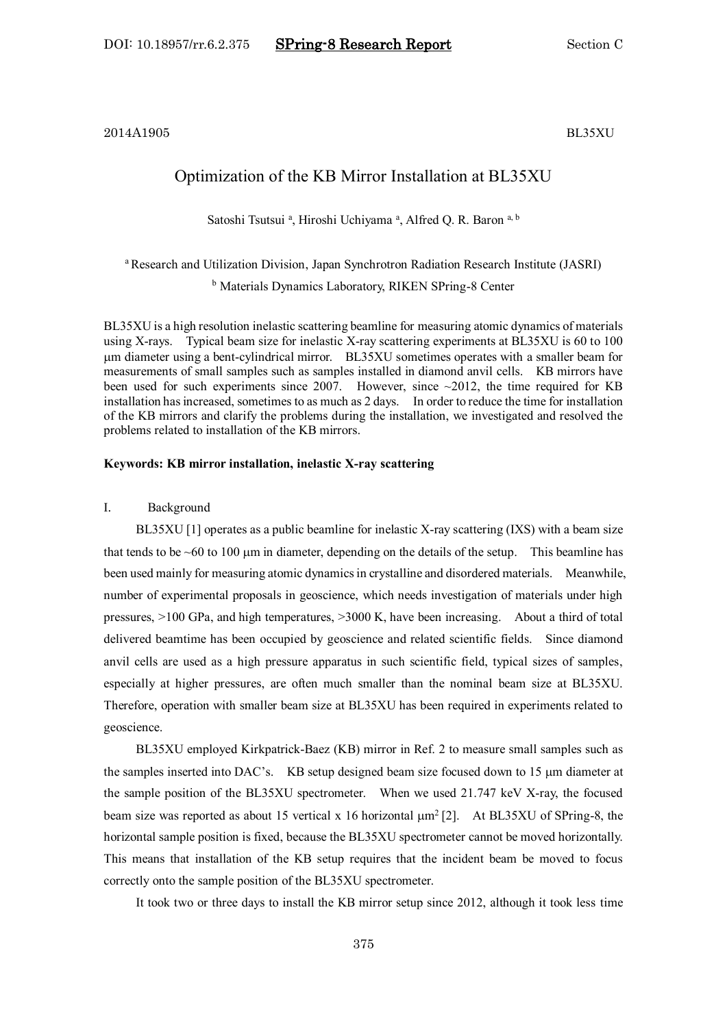2014A1905 BL35XU

# Optimization of the KB Mirror Installation at BL35XU

Satoshi Tsutsui<sup>a</sup>, Hiroshi Uchiyama<sup>a</sup>, Alfred Q. R. Baron<sup>a, b</sup>

<sup>a</sup> Research and Utilization Division, Japan Synchrotron Radiation Research Institute (JASRI) <sup>b</sup> Materials Dynamics Laboratory, RIKEN SPring-8 Center

BL35XU is a high resolution inelastic scattering beamline for measuring atomic dynamics of materials using X-rays. Typical beam size for inelastic X-ray scattering experiments at BL35XU is 60 to 100 m diameter using a bent-cylindrical mirror. BL35XU sometimes operates with a smaller beam for measurements of small samples such as samples installed in diamond anvil cells. KB mirrors have been used for such experiments since 2007. However, since  $\sim$ 2012, the time required for KB installation has increased, sometimes to as much as 2 days. In order to reduce the time for installation of the KB mirrors and clarify the problems during the installation, we investigated and resolved the problems related to installation of the KB mirrors.

#### **Keywords: KB mirror installation, inelastic X-ray scattering**

#### I. Background

BL35XU [1] operates as a public beamline for inelastic X-ray scattering (IXS) with a beam size that tends to be  $\sim 60$  to 100  $\mu$ m in diameter, depending on the details of the setup. This beamline has been used mainly for measuring atomic dynamics in crystalline and disordered materials. Meanwhile, number of experimental proposals in geoscience, which needs investigation of materials under high pressures, >100 GPa, and high temperatures, >3000 K, have been increasing. About a third of total delivered beamtime has been occupied by geoscience and related scientific fields. Since diamond anvil cells are used as a high pressure apparatus in such scientific field, typical sizes of samples, especially at higher pressures, are often much smaller than the nominal beam size at BL35XU. Therefore, operation with smaller beam size at BL35XU has been required in experiments related to geoscience.

BL35XU employed Kirkpatrick-Baez (KB) mirror in Ref. 2 to measure small samples such as the samples inserted into DAC's. KB setup designed beam size focused down to 15  $\mu$ m diameter at the sample position of the BL35XU spectrometer. When we used 21.747 keV X-ray, the focused beam size was reported as about 15 vertical x 16 horizontal  $\mu$ m<sup>2</sup> [2]. At BL35XU of SPring-8, the horizontal sample position is fixed, because the BL35XU spectrometer cannot be moved horizontally. This means that installation of the KB setup requires that the incident beam be moved to focus correctly onto the sample position of the BL35XU spectrometer.

It took two or three days to install the KB mirror setup since 2012, although it took less time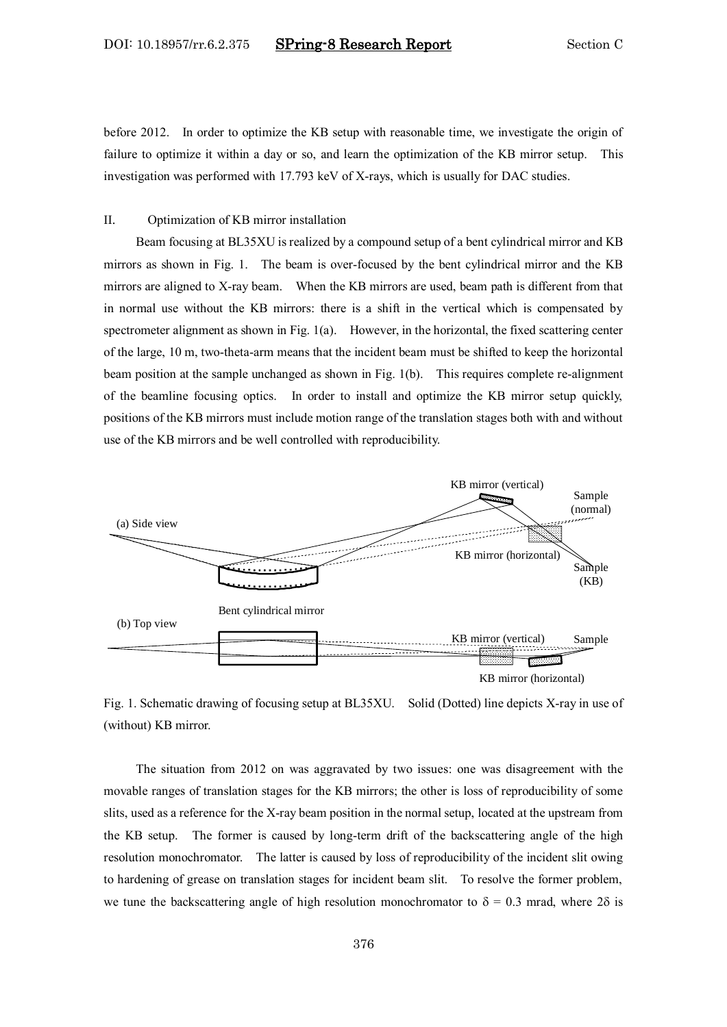before 2012. In order to optimize the KB setup with reasonable time, we investigate the origin of failure to optimize it within a day or so, and learn the optimization of the KB mirror setup. This investigation was performed with 17.793 keV of X-rays, which is usually for DAC studies.

### II. Optimization of KB mirror installation

Beam focusing at BL35XU is realized by a compound setup of a bent cylindrical mirror and KB mirrors as shown in Fig. 1. The beam is over-focused by the bent cylindrical mirror and the KB mirrors are aligned to X-ray beam. When the KB mirrors are used, beam path is different from that in normal use without the KB mirrors: there is a shift in the vertical which is compensated by spectrometer alignment as shown in Fig. 1(a). However, in the horizontal, the fixed scattering center of the large, 10 m, two-theta-arm means that the incident beam must be shifted to keep the horizontal beam position at the sample unchanged as shown in Fig. 1(b). This requires complete re-alignment of the beamline focusing optics. In order to install and optimize the KB mirror setup quickly, positions of the KB mirrors must include motion range of the translation stages both with and without use of the KB mirrors and be well controlled with reproducibility.



Fig. 1. Schematic drawing of focusing setup at BL35XU. Solid (Dotted) line depicts X-ray in use of (without) KB mirror.

The situation from 2012 on was aggravated by two issues: one was disagreement with the movable ranges of translation stages for the KB mirrors; the other is loss of reproducibility of some slits, used as a reference for the X-ray beam position in the normal setup, located at the upstream from the KB setup. The former is caused by long-term drift of the backscattering angle of the high resolution monochromator. The latter is caused by loss of reproducibility of the incident slit owing to hardening of grease on translation stages for incident beam slit. To resolve the former problem, we tune the backscattering angle of high resolution monochromator to  $\delta = 0.3$  mrad, where 2 $\delta$  is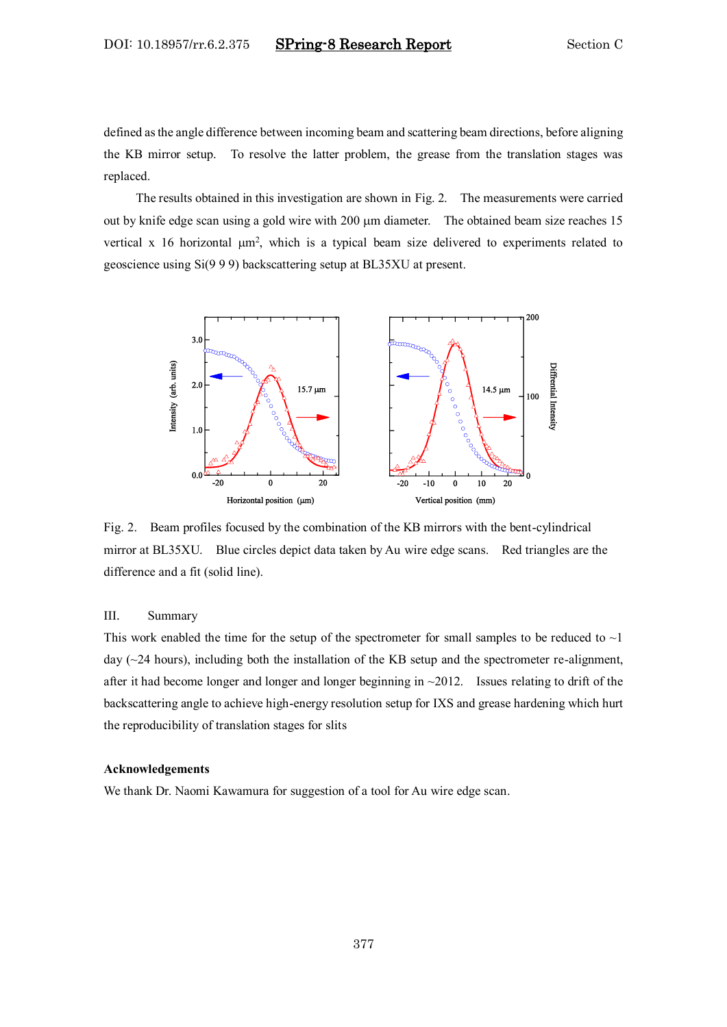defined as the angle difference between incoming beam and scattering beam directions, before aligning the KB mirror setup. To resolve the latter problem, the grease from the translation stages was replaced.

The results obtained in this investigation are shown in Fig. 2. The measurements were carried out by knife edge scan using a gold wire with 200  $\mu$ m diameter. The obtained beam size reaches 15 vertical x 16 horizontal  $\mu$ m<sup>2</sup>, which is a typical beam size delivered to experiments related to geoscience using Si(9 9 9) backscattering setup at BL35XU at present.



Fig. 2. Beam profiles focused by the combination of the KB mirrors with the bent-cylindrical mirror at BL35XU. Blue circles depict data taken by Au wire edge scans. Red triangles are the difference and a fit (solid line).

#### III. Summary

This work enabled the time for the setup of the spectrometer for small samples to be reduced to  $\sim$  1 day (~24 hours), including both the installation of the KB setup and the spectrometer re-alignment, after it had become longer and longer and longer beginning in ~2012. Issues relating to drift of the backscattering angle to achieve high-energy resolution setup for IXS and grease hardening which hurt the reproducibility of translation stages for slits

#### **Acknowledgements**

We thank Dr. Naomi Kawamura for suggestion of a tool for Au wire edge scan.